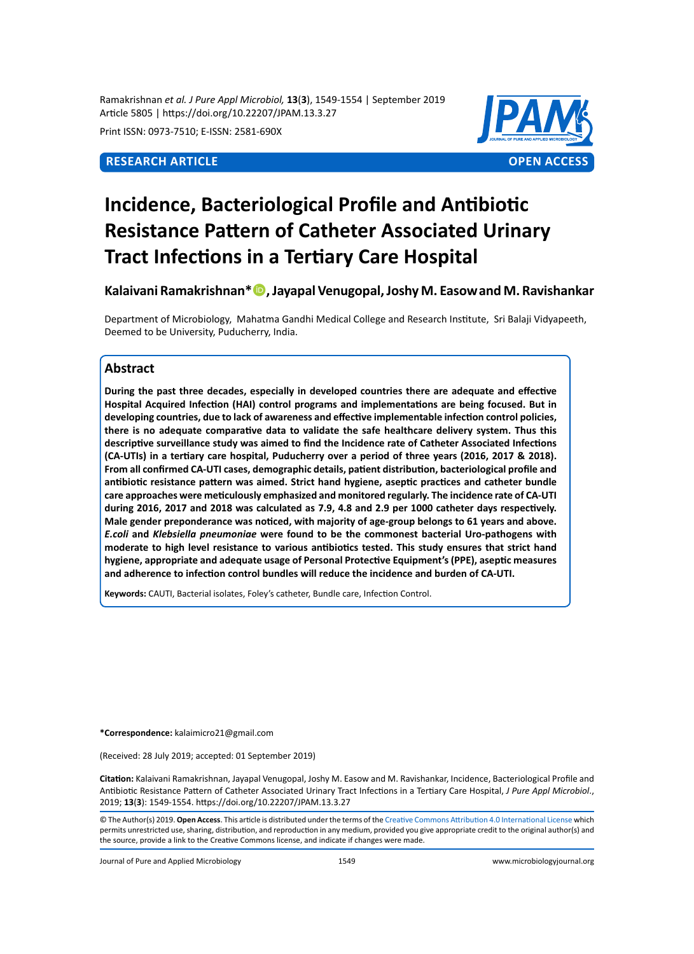Ramakrishnan *et al. J Pure Appl Microbiol,* **13**(**3**), 1549-1554 | September 2019 Article 5805 | https://doi.org/10.22207/JPAM.13.3.27

Print ISSN: 0973-7510; E-ISSN: 2581-690X



# **Incidence, Bacteriological Profile and Antibiotic Resistance Pattern of Catheter Associated Urinary Tract Infections in a Tertiary Care Hospital**

**Kalaivani Ramakrishnan\*, Jayapal Venugopal, Joshy M. Easowand M. Ravishankar**

Department of Microbiology, Mahatma Gandhi Medical College and Research Institute, Sri Balaji Vidyapeeth, Deemed to be University, Puducherry, India.

# **Abstract**

**During the past three decades, especially in developed countries there are adequate and effective Hospital Acquired Infection (HAI) control programs and implementations are being focused. But in developing countries, due to lack of awareness and effective implementable infection control policies, there is no adequate comparative data to validate the safe healthcare delivery system. Thus this descriptive surveillance study was aimed to find the Incidence rate of Catheter Associated Infections (CA-UTIs) in a tertiary care hospital, Puducherry over a period of three years (2016, 2017 & 2018). From all confirmed CA-UTI cases, demographic details, patient distribution, bacteriological profile and antibiotic resistance pattern was aimed. Strict hand hygiene, aseptic practices and catheter bundle care approaches were meticulously emphasized and monitored regularly. The incidence rate of CA-UTI during 2016, 2017 and 2018 was calculated as 7.9, 4.8 and 2.9 per 1000 catheter days respectively. Male gender preponderance was noticed, with majority of age-group belongs to 61 years and above.**  *E.coli* **and** *Klebsiella pneumoniae* **were found to be the commonest bacterial Uro-pathogens with moderate to high level resistance to various antibiotics tested. This study ensures that strict hand hygiene, appropriate and adequate usage of Personal Protective Equipment's (PPE), aseptic measures and adherence to infection control bundles will reduce the incidence and burden of CA-UTI.** 

**Keywords:** CAUTI, Bacterial isolates, Foley's catheter, Bundle care, Infection Control.

**\*Correspondence:** kalaimicro21@gmail.com

(Received: 28 July 2019; accepted: 01 September 2019)

**Citation:** Kalaivani Ramakrishnan, Jayapal Venugopal, Joshy M. Easow and M. Ravishankar, Incidence, Bacteriological Profile and Antibiotic Resistance Pattern of Catheter Associated Urinary Tract Infections in a Tertiary Care Hospital, *J Pure Appl Microbiol*., 2019; **13**(**3**): 1549-1554. https://doi.org/10.22207/JPAM.13.3.27

Journal of Pure and Applied Microbiology 1549 www.microbiologyjournal.org

<sup>©</sup> The Author(s) 2019. **Open Access**. This article is distributed under the terms of the [Creative Commons Attribution 4.0 International License](https://creativecommons.org/licenses/by/4.0/) which permits unrestricted use, sharing, distribution, and reproduction in any medium, provided you give appropriate credit to the original author(s) and the source, provide a link to the Creative Commons license, and indicate if changes were made.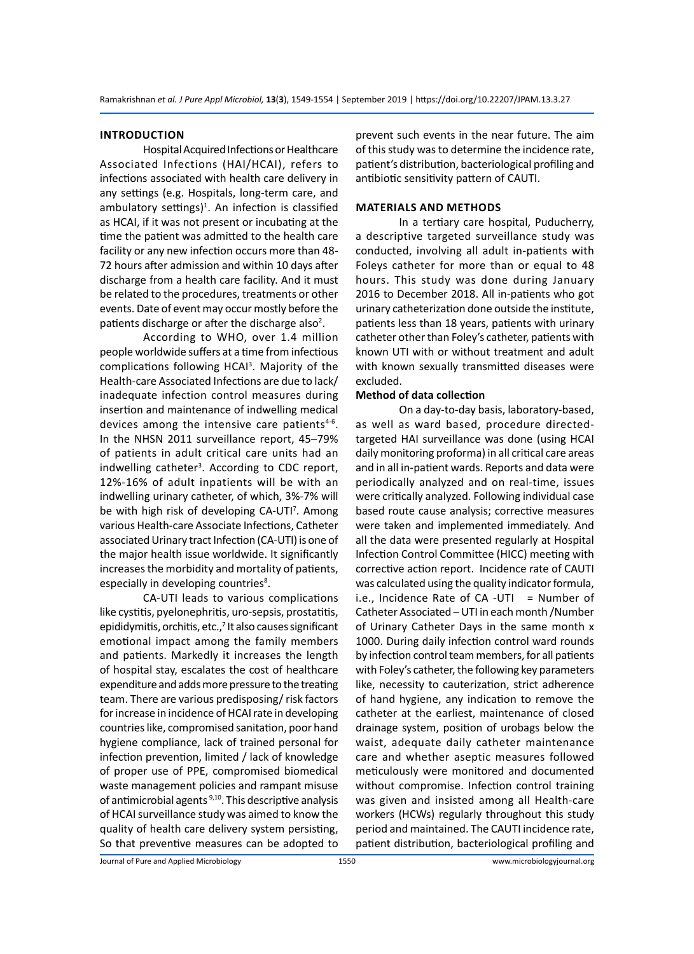#### **Introduction**

Hospital Acquired Infections or Healthcare Associated Infections (HAI/HCAI), refers to infections associated with health care delivery in any settings (e.g. Hospitals, long-term care, and ambulatory settings)<sup>1</sup>. An infection is classified as HCAI, if it was not present or incubating at the time the patient was admitted to the health care facility or any new infection occurs more than 48- 72 hours after admission and within 10 days after discharge from a health care facility. And it must be related to the procedures, treatments or other events. Date of event may occur mostly before the patients discharge or after the discharge also<sup>2</sup>.

According to WHO, over 1.4 million people worldwide suffers at a time from infectious complications following HCAI<sup>3</sup>. Majority of the Health-care Associated Infections are due to lack/ inadequate infection control measures during insertion and maintenance of indwelling medical devices among the intensive care patients $4-6$ . In the NHSN 2011 surveillance report, 45–79% of patients in adult critical care units had an indwelling catheter<sup>3</sup>. According to CDC report, 12%-16% of adult inpatients will be with an indwelling urinary catheter, of which, 3%-7% will be with high risk of developing CA-UTI<sup>7</sup>. Among various Health-care Associate Infections, Catheter associated Urinary tract Infection (CA-UTI) is one of the major health issue worldwide. It significantly increases the morbidity and mortality of patients, especially in developing countries<sup>8</sup>.

CA-UTI leads to various complications like cystitis, pyelonephritis, uro-sepsis, prostatitis, epididymitis, orchitis, etc.,<sup>7</sup> It also causes significant emotional impact among the family members and patients. Markedly it increases the length of hospital stay, escalates the cost of healthcare expenditure and adds more pressure to the treating team. There are various predisposing/ risk factors for increase in incidence of HCAI rate in developing countries like, compromised sanitation, poor hand hygiene compliance, lack of trained personal for infection prevention, limited / lack of knowledge of proper use of PPE, compromised biomedical waste management policies and rampant misuse of antimicrobial agents <sup>9,10</sup>. This descriptive analysis of HCAI surveillance study was aimed to know the quality of health care delivery system persisting, So that preventive measures can be adopted to

prevent such events in the near future. The aim of this study was to determine the incidence rate, patient's distribution, bacteriological profiling and antibiotic sensitivity pattern of CAUTI.

#### **Materials and Methods**

In a tertiary care hospital, Puducherry, a descriptive targeted surveillance study was conducted, involving all adult in-patients with Foleys catheter for more than or equal to 48 hours. This study was done during January 2016 to December 2018. All in-patients who got urinary catheterization done outside the institute, patients less than 18 years, patients with urinary catheter other than Foley's catheter, patients with known UTI with or without treatment and adult with known sexually transmitted diseases were excluded.

#### **Method of data collection**

On a day-to-day basis, laboratory-based, as well as ward based, procedure directedtargeted HAI surveillance was done (using HCAI daily monitoring proforma) in all critical care areas and in all in-patient wards. Reports and data were periodically analyzed and on real-time, issues were critically analyzed. Following individual case based route cause analysis; corrective measures were taken and implemented immediately. And all the data were presented regularly at Hospital Infection Control Committee (HICC) meeting with corrective action report. Incidence rate of CAUTI was calculated using the quality indicator formula, i.e., Incidence Rate of  $CA$  -UTI = Number of Catheter Associated – UTI in each month /Number of Urinary Catheter Days in the same month x 1000. During daily infection control ward rounds by infection control team members, for all patients with Foley's catheter, the following key parameters like, necessity to cauterization, strict adherence of hand hygiene, any indication to remove the catheter at the earliest, maintenance of closed drainage system, position of urobags below the waist, adequate daily catheter maintenance care and whether aseptic measures followed meticulously were monitored and documented without compromise. Infection control training was given and insisted among all Health-care workers (HCWs) regularly throughout this study period and maintained. The CAUTI incidence rate, patient distribution, bacteriological profiling and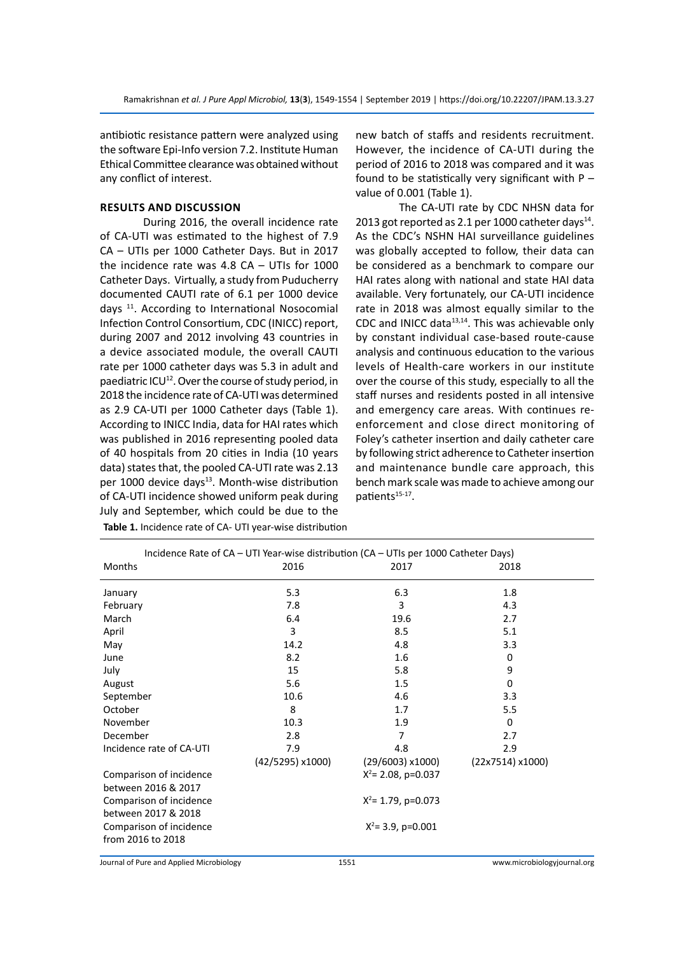antibiotic resistance pattern were analyzed using the software Epi-Info version 7.2. Institute Human Ethical Committee clearance was obtained without any conflict of interest.

### **Results and Discussion**

During 2016, the overall incidence rate of CA-UTI was estimated to the highest of 7.9 CA – UTIs per 1000 Catheter Days. But in 2017 the incidence rate was 4.8 CA – UTIs for 1000 Catheter Days. Virtually, a study from Puducherry documented CAUTI rate of 6.1 per 1000 device days 11. According to International Nosocomial Infection Control Consortium, CDC (INICC) report, during 2007 and 2012 involving 43 countries in a device associated module, the overall CAUTI rate per 1000 catheter days was 5.3 in adult and paediatric  $ICU^{12}$ . Over the course of study period, in 2018 the incidence rate of CA-UTI was determined as 2.9 CA-UTI per 1000 Catheter days (Table 1). According to INICC India, data for HAI rates which was published in 2016 representing pooled data of 40 hospitals from 20 cities in India (10 years data) states that, the pooled CA-UTI rate was 2.13 per 1000 device days<sup>13</sup>. Month-wise distribution of CA-UTI incidence showed uniform peak during July and September, which could be due to the new batch of staffs and residents recruitment. However, the incidence of CA-UTI during the period of 2016 to 2018 was compared and it was found to be statistically very significant with  $P$ value of 0.001 (Table 1).

The CA-UTI rate by CDC NHSN data for 2013 got reported as 2.1 per 1000 catheter days $^{14}$ . As the CDC's NSHN HAI surveillance guidelines was globally accepted to follow, their data can be considered as a benchmark to compare our HAI rates along with national and state HAI data available. Very fortunately, our CA-UTI incidence rate in 2018 was almost equally similar to the CDC and INICC data $13,14$ . This was achievable only by constant individual case-based route-cause analysis and continuous education to the various levels of Health-care workers in our institute over the course of this study, especially to all the staff nurses and residents posted in all intensive and emergency care areas. With continues reenforcement and close direct monitoring of Foley's catheter insertion and daily catheter care by following strict adherence to Catheter insertion and maintenance bundle care approach, this bench mark scale was made to achieve among our patients<sup>15-17</sup>.

| Incidence Rate of CA - UTI Year-wise distribution (CA - UTIs per 1000 Catheter Days) |                |                       |                 |  |  |  |  |  |  |
|--------------------------------------------------------------------------------------|----------------|-----------------------|-----------------|--|--|--|--|--|--|
| <b>Months</b>                                                                        | 2016           | 2017                  | 2018            |  |  |  |  |  |  |
| 5.3<br>January                                                                       |                | 6.3                   | 1.8             |  |  |  |  |  |  |
| February<br>7.8                                                                      |                | 3                     | 4.3             |  |  |  |  |  |  |
| March                                                                                | 6.4            | 19.6                  | 2.7             |  |  |  |  |  |  |
| April                                                                                | 3              | 8.5                   | 5.1             |  |  |  |  |  |  |
| May                                                                                  | 14.2           | 4.8                   | 3.3             |  |  |  |  |  |  |
| June                                                                                 | 8.2            |                       | 0               |  |  |  |  |  |  |
| July                                                                                 | 15             |                       | 9               |  |  |  |  |  |  |
| August                                                                               | 5.6            |                       | 0               |  |  |  |  |  |  |
| September                                                                            | 10.6           |                       | 3.3             |  |  |  |  |  |  |
| October                                                                              | 8              |                       | 5.5             |  |  |  |  |  |  |
| November                                                                             | 10.3           |                       | 0               |  |  |  |  |  |  |
| December                                                                             | 2.8            |                       | 2.7             |  |  |  |  |  |  |
| Incidence rate of CA-UTI                                                             | 7.9            | 4.8                   | 2.9             |  |  |  |  |  |  |
|                                                                                      | (42/5295)x1000 | (29/6003)x1000)       | (22x7514)x1000) |  |  |  |  |  |  |
| Comparison of incidence                                                              |                | $X^2$ = 2.08, p=0.037 |                 |  |  |  |  |  |  |
| between 2016 & 2017                                                                  |                |                       |                 |  |  |  |  |  |  |
| Comparison of incidence                                                              |                | $X^2$ = 1.79, p=0.073 |                 |  |  |  |  |  |  |
| between 2017 & 2018                                                                  |                |                       |                 |  |  |  |  |  |  |
| Comparison of incidence                                                              |                | $X^2$ = 3.9, p=0.001  |                 |  |  |  |  |  |  |
| from 2016 to 2018                                                                    |                |                       |                 |  |  |  |  |  |  |

**Table 1.** Incidence rate of CA- UTI year-wise distribution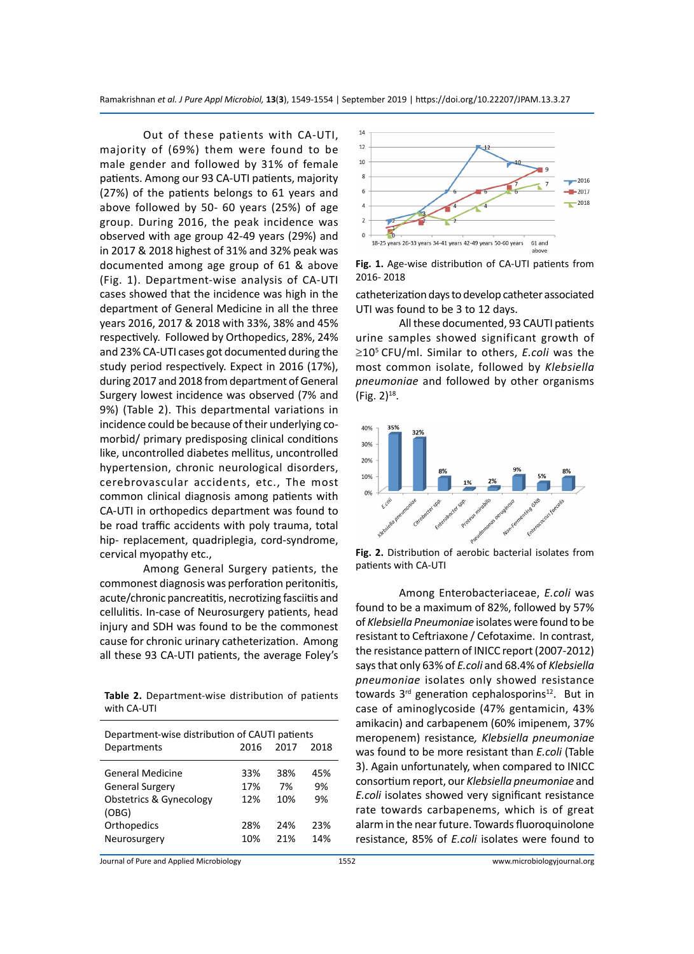Out of these patients with CA-UTI, majority of (69%) them were found to be male gender and followed by 31% of female patients. Among our 93 CA-UTI patients, majority (27%) of the patients belongs to 61 years and above followed by 50- 60 years (25%) of age group. During 2016, the peak incidence was observed with age group 42-49 years (29%) and in 2017 & 2018 highest of 31% and 32% peak was documented among age group of 61 & above (Fig. 1). Department-wise analysis of CA-UTI cases showed that the incidence was high in the department of General Medicine in all the three years 2016, 2017 & 2018 with 33%, 38% and 45% respectively. Followed by Orthopedics, 28%, 24% and 23% CA-UTI cases got documented during the study period respectively. Expect in 2016 (17%), during 2017 and 2018 from department of General Surgery lowest incidence was observed (7% and 9%) (Table 2). This departmental variations in incidence could be because of their underlying comorbid/ primary predisposing clinical conditions like, uncontrolled diabetes mellitus, uncontrolled hypertension, chronic neurological disorders, cerebrovascular accidents, etc., The most common clinical diagnosis among patients with CA-UTI in orthopedics department was found to be road traffic accidents with poly trauma, total hip- replacement, quadriplegia, cord-syndrome, cervical myopathy etc.,

Among General Surgery patients, the commonest diagnosis was perforation peritonitis, acute/chronic pancreatitis, necrotizing fasciitis and cellulitis. In-case of Neurosurgery patients, head injury and SDH was found to be the commonest cause for chronic urinary catheterization. Among all these 93 CA-UTI patients, the average Foley's

**Table 2.** Department-wise distribution of patients with CA-UTI

| Department-wise distribution of CAUTI patients<br>2017<br>2016<br>2018<br>Departments                                    |                                 |                                |                               |  |  |  |  |  |
|--------------------------------------------------------------------------------------------------------------------------|---------------------------------|--------------------------------|-------------------------------|--|--|--|--|--|
|                                                                                                                          |                                 |                                |                               |  |  |  |  |  |
| General Medicine<br><b>General Surgery</b><br><b>Obstetrics &amp; Gynecology</b><br>(OBG)<br>Orthopedics<br>Neurosurgery | 33%<br>17%<br>12%<br>28%<br>10% | 38%<br>7%<br>10%<br>24%<br>21% | 45%<br>9%<br>9%<br>23%<br>14% |  |  |  |  |  |



**Fig. 1.** Age-wise distribution of CA-UTI patients from 2016- 2018

catheterization days to develop catheter associated UTI was found to be 3 to 12 days.

All these documented, 93 CAUTI patients urine samples showed significant growth of ≥105 CFU/ml. Similar to others, *E.coli* was the most common isolate, followed by *Klebsiella pneumoniae* and followed by other organisms  $(Fig. 2)^{18}$ .



**Fig. 2.** Distribution of aerobic bacterial isolates from patients with CA-UTI

Among Enterobacteriaceae, *E.coli* was found to be a maximum of 82%, followed by 57% of *Klebsiella Pneumoniae* isolates were found to be resistant to Ceftriaxone / Cefotaxime. In contrast, the resistance pattern of INICC report (2007-2012) says that only 63% of *E.coli* and 68.4% of *Klebsiella pneumoniae* isolates only showed resistance towards 3<sup>rd</sup> generation cephalosporins<sup>12</sup>. But in case of aminoglycoside (47% gentamicin, 43% amikacin) and carbapenem (60% imipenem, 37% meropenem) resistance*, Klebsiella pneumoniae*  was found to be more resistant than *E.coli* (Table 3). Again unfortunately, when compared to INICC consortium report, our *Klebsiella pneumoniae* and *E.coli* isolates showed very significant resistance rate towards carbapenems, which is of great alarm in the near future. Towards fluoroquinolone resistance, 85% of *E.coli* isolates were found to

Journal of Pure and Applied Microbiology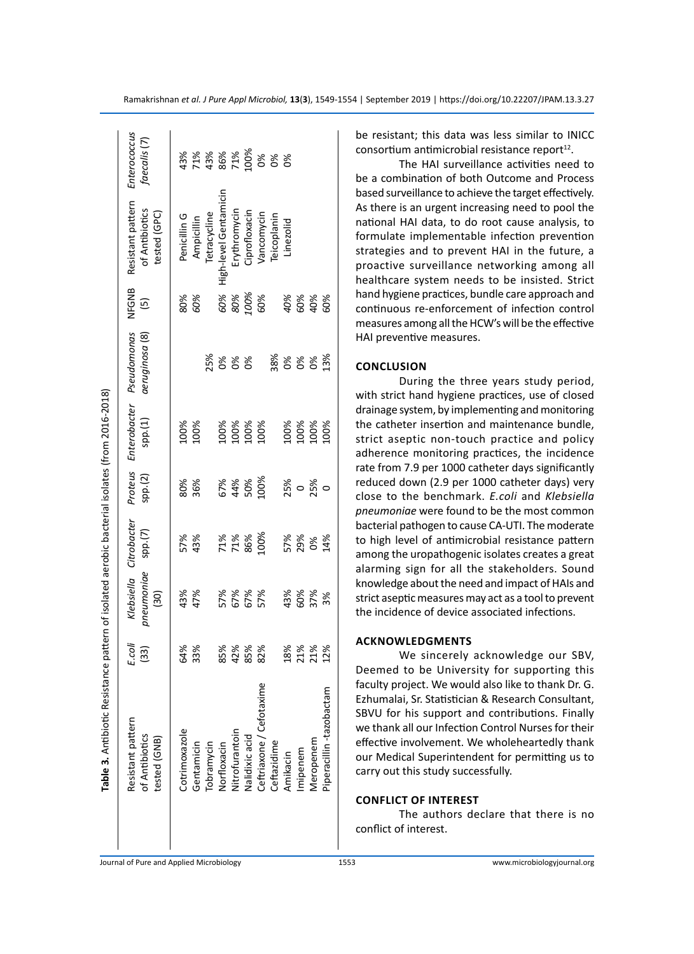|                                                                                                | Enterococcus<br>faecalis (7)                        |               |            |              | 8<br>8 8 8 8 8 8 8 8 8<br>9 8 8 8 8 8 8 8 8 |                    |                       |                          |             |            |              |           |                         |
|------------------------------------------------------------------------------------------------|-----------------------------------------------------|---------------|------------|--------------|---------------------------------------------|--------------------|-----------------------|--------------------------|-------------|------------|--------------|-----------|-------------------------|
|                                                                                                | Resistant pattern<br>of Antibiotics<br>tested (GPC) | Penicillin G  | Ampicillin | Tetracycline | High-level Gentamicin                       | Erythromycin       | Ciprofloxacin         | Vancomycin               | Teicoplanin | Linezolid  |              |           |                         |
|                                                                                                | NFGNB<br>$\overline{5}$                             | 80%<br>60%    |            |              |                                             | 60%<br>80%<br>100% |                       | 60%                      |             |            | 40%<br>60%   | 40%       |                         |
| Table 3. Antibiotic Resistance pattern of isolated aerobic bacterial isolates (from 2016-2018) | Pseudomonas<br>aeruginosa (8)                       |               |            | 25%          | $\delta$                                    | ఠో శ               |                       |                          | 38%         | 888        |              |           | 13%                     |
|                                                                                                | Proteus Enterobacter<br>sp. (1)                     | 100%          | 100%       |              |                                             |                    | 100%<br>100%<br>10001 |                          |             |            | 100%<br>100% | 100%      | 100%                    |
|                                                                                                | spp.(2)                                             |               | 80%<br>36% |              |                                             |                    | 67%<br>8%%<br>64%%    |                          |             | 25%<br>0   |              | 25%<br>0  |                         |
|                                                                                                | Klebsiella Citrobacter                              | 57%           | 43%        |              | 71%<br>71%                                  |                    | 86%                   | 100%                     |             | 57%<br>29% |              | 0%        | 14%                     |
|                                                                                                | pneumoniae spp.(7)<br>(30)                          | 43%           | 47%        |              |                                             |                    | 57%<br>67%<br>57%     |                          |             |            | 43%<br>60%   | 37%       | 3%                      |
|                                                                                                | E.coli<br>(33)                                      | 64%           | 33%        |              | 85%                                         | 42%                | 85%                   | 82%                      |             | 18%        | 21%          | 21%       | 12%                     |
|                                                                                                | Resistant pattern<br>of Antibiotics<br>tested (GNB) | Cotrimoxazole | Gentamicin | Tobramycin   | Norfloxacin                                 | Nitrofurantoin     | Nalidixic acid        | Ceftriaxone / Cefotaxime | Ceftazidime | Amikacin   | Imipenem     | Meropenem | Piperacillin-tazobactam |
|                                                                                                |                                                     |               |            |              |                                             |                    |                       |                          |             |            |              |           |                         |

be resistant; this data was less similar to INICC  $\frac{1}{2}$  consortium antimicrobial resistance report<sup>12</sup>.

The HAI surveillance activities need to be a combination of both Outcome and Process based surveillance to achieve the target effectively. As there is an urgent increasing need to pool the national HAI data, to do root cause analysis, to formulate implementable infection prevention strategies and to prevent HAI in the future, a proactive surveillance networking among all healthcare system needs to be insisted. Strict hand hygiene practices, bundle care approach and continuous re-enforcement of infection control measures among all the HCW's will be the effective HAI preventive measures.

## **Conclusion**

During the three years study period, with strict hand hygiene practices, use of closed drainage system, by implementing and monitoring the catheter insertion and maintenance bundle, strict aseptic non-touch practice and policy adherence monitoring practices, the incidence rate from 7.9 per 1000 catheter days significantly reduced down (2.9 per 1000 catheter days) very close to the benchmark. *E.coli* and *Klebsiella pneumoniae* were found to be the most common bacterial pathogen to cause CA-UTI. The moderate to high level of antimicrobial resistance pattern among the uropathogenic isolates creates a great alarming sign for all the stakeholders. Sound knowledge about the need and impact of HAIs and strict aseptic measures may act as a tool to prevent the incidence of device associated infections.

#### **Acknowledgments**

We sincerely acknowledge our SBV, Deemed to be University for supporting this faculty project. We would also like to thank Dr. G. Ezhumalai, Sr. Statistician & Research Consultant, SBVU for his support and contributions. Finally we thank all our Infection Control Nurses for their effective involvement. We wholeheartedly thank our Medical Superintendent for permitting us to carry out this study successfully.

#### **Conflict of Interest**

The authors declare that there is no conflict of interest.